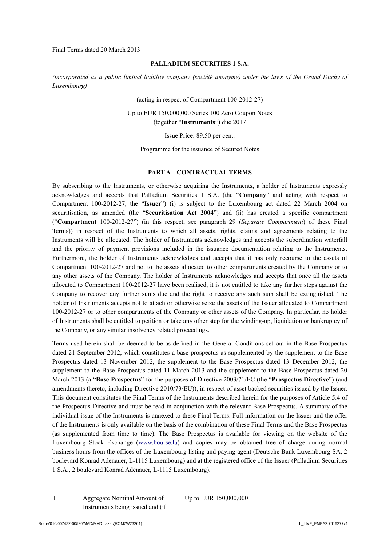Final Terms dated 20 March 2013

#### **PALLADIUM SECURITIES 1 S.A.**

*(incorporated as a public limited liability company (société anonyme) under the laws of the Grand Duchy of Luxembourg)*

(acting in respect of Compartment 100-2012-27)

Up to EUR 150,000,000 Series 100 Zero Coupon Notes (together "**Instruments**") due 2017

Issue Price: 89.50 per cent.

Programme for the issuance of Secured Notes

#### **PART A – CONTRACTUAL TERMS**

By subscribing to the Instruments, or otherwise acquiring the Instruments, a holder of Instruments expressly acknowledges and accepts that Palladium Securities 1 S.A. (the "**Company**" and acting with respect to Compartment 100-2012-27, the "**Issuer**") (i) is subject to the Luxembourg act dated 22 March 2004 on securitisation, as amended (the "**Securitisation Act 2004**") and (ii) has created a specific compartment ("**Compartment** 100-2012-27") (in this respect, see paragraph 29 (*Separate Compartment*) of these Final Terms)) in respect of the Instruments to which all assets, rights, claims and agreements relating to the Instruments will be allocated. The holder of Instruments acknowledges and accepts the subordination waterfall and the priority of payment provisions included in the issuance documentation relating to the Instruments. Furthermore, the holder of Instruments acknowledges and accepts that it has only recourse to the assets of Compartment 100-2012-27 and not to the assets allocated to other compartments created by the Company or to any other assets of the Company. The holder of Instruments acknowledges and accepts that once all the assets allocated to Compartment 100-2012-27 have been realised, it is not entitled to take any further steps against the Company to recover any further sums due and the right to receive any such sum shall be extinguished. The holder of Instruments accepts not to attach or otherwise seize the assets of the Issuer allocated to Compartment 100-2012-27 or to other compartments of the Company or other assets of the Company. In particular, no holder of Instruments shall be entitled to petition or take any other step for the winding-up, liquidation or bankruptcy of the Company, or any similar insolvency related proceedings.

Terms used herein shall be deemed to be as defined in the General Conditions set out in the Base Prospectus dated 21 September 2012, which constitutes a base prospectus as supplemented by the supplement to the Base Prospectus dated 13 November 2012, the supplement to the Base Prospectus dated 13 December 2012, the supplement to the Base Prospectus dated 11 March 2013 and the supplement to the Base Prospectus dated 20 March 2013 (a "**Base Prospectus**" for the purposes of Directive 2003/71/EC (the "**Prospectus Directive**") (and amendments thereto, including Directive 2010/73/EU)), in respect of asset backed securities issued by the Issuer. This document constitutes the Final Terms of the Instruments described herein for the purposes of Article 5.4 of the Prospectus Directive and must be read in conjunction with the relevant Base Prospectus. A summary of the individual issue of the Instruments is annexed to these Final Terms. Full information on the Issuer and the offer of the Instruments is only available on the basis of the combination of these Final Terms and the Base Prospectus (as supplemented from time to time). The Base Prospectus is available for viewing on the website of the Luxembourg Stock Exchange (www.bourse.lu) and copies may be obtained free of charge during normal business hours from the offices of the Luxembourg listing and paying agent (Deutsche Bank Luxembourg SA, 2 boulevard Konrad Adenauer, L-1115 Luxembourg) and at the registered office of the Issuer (Palladium Securities 1 S.A., 2 boulevard Konrad Adenauer, L-1115 Luxembourg).

1 Aggregate Nominal Amount of Instruments being issued and (if Up to EUR 150,000,000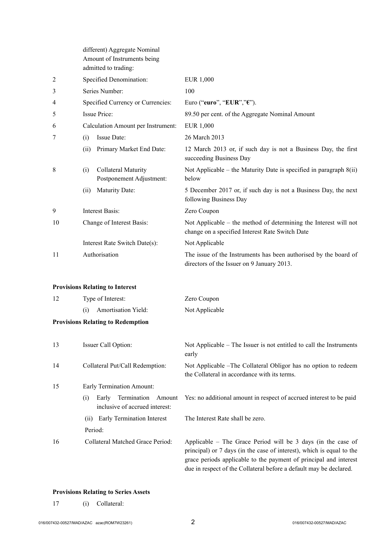|    | different) Aggregate Nominal<br>Amount of Instruments being<br>admitted to trading: |                                                                                                                     |  |
|----|-------------------------------------------------------------------------------------|---------------------------------------------------------------------------------------------------------------------|--|
| 2  | Specified Denomination:                                                             | <b>EUR 1,000</b>                                                                                                    |  |
| 3  | Series Number:                                                                      | 100                                                                                                                 |  |
| 4  | Specified Currency or Currencies:                                                   | Euro ("euro", "EUR"," $\varepsilon$ ").                                                                             |  |
| 5  | Issue Price:                                                                        | 89.50 per cent. of the Aggregate Nominal Amount                                                                     |  |
| 6  | Calculation Amount per Instrument:                                                  | EUR 1,000                                                                                                           |  |
| 7  | Issue Date:<br>(i)                                                                  | 26 March 2013                                                                                                       |  |
|    | Primary Market End Date:<br>(ii)                                                    | 12 March 2013 or, if such day is not a Business Day, the first<br>succeeding Business Day                           |  |
| 8  | Collateral Maturity<br>(i)<br>Postponement Adjustment:                              | Not Applicable – the Maturity Date is specified in paragraph $8(ii)$<br>below                                       |  |
|    | <b>Maturity Date:</b><br>(ii)                                                       | 5 December 2017 or, if such day is not a Business Day, the next<br>following Business Day                           |  |
| 9  | <b>Interest Basis:</b>                                                              | Zero Coupon                                                                                                         |  |
| 10 | Change of Interest Basis:                                                           | Not Applicable – the method of determining the Interest will not<br>change on a specified Interest Rate Switch Date |  |
|    | Interest Rate Switch Date(s):                                                       | Not Applicable                                                                                                      |  |
| 11 | Authorisation                                                                       | The issue of the Instruments has been authorised by the board of<br>directors of the Issuer on 9 January 2013.      |  |
|    | <b>Provisions Relating to Interest</b>                                              |                                                                                                                     |  |
| 12 | Type of Interest:                                                                   | Zero Coupon                                                                                                         |  |
|    | Amortisation Yield:<br>(i)                                                          | Not Applicable                                                                                                      |  |
|    | <b>Provisions Relating to Redemption</b>                                            |                                                                                                                     |  |
| 13 | Issuer Call Option:                                                                 | Not Applicable – The Issuer is not entitled to call the Instruments<br>early                                        |  |
| 14 | Collateral Put/Call Redemption:                                                     | Not Applicable -The Collateral Obligor has no option to redeem<br>the Collateral in accordance with its terms.      |  |
| 15 | Early Termination Amount:                                                           |                                                                                                                     |  |
|    | Early Termination<br>(i)<br>Amount<br>inclusive of accrued interest:                | Yes: no additional amount in respect of accrued interest to be paid                                                 |  |
|    | <b>Early Termination Interest</b><br>(ii)<br>Period:                                | The Interest Rate shall be zero.                                                                                    |  |

16 Collateral Matched Grace Period: Applicable – The Grace Period will be 3 days (in the case of principal) or 7 days (in the case of interest), which is equal to the grace periods applicable to the payment of principal and interest due in respect of the Collateral before a default may be declared.

### **Provisions Relating to Series Assets**

17 (i) Collateral: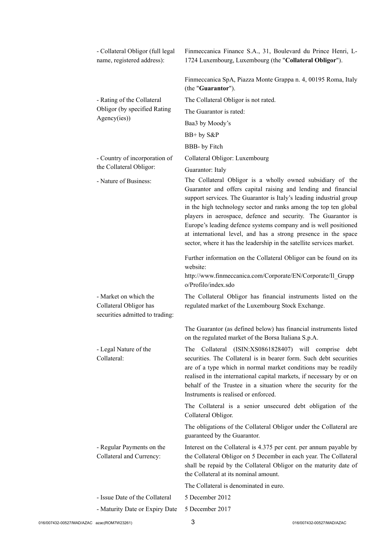|                                            | - Collateral Obligor (full legal<br>name, registered address):                     | Finmeccanica Finance S.A., 31, Boulevard du Prince Henri, L-<br>1724 Luxembourg, Luxembourg (the "Collateral Obligor").                                                                                                                                                                                                                                                                                                                                                                                                                               |                           |
|--------------------------------------------|------------------------------------------------------------------------------------|-------------------------------------------------------------------------------------------------------------------------------------------------------------------------------------------------------------------------------------------------------------------------------------------------------------------------------------------------------------------------------------------------------------------------------------------------------------------------------------------------------------------------------------------------------|---------------------------|
|                                            |                                                                                    | Finmeccanica SpA, Piazza Monte Grappa n. 4, 00195 Roma, Italy<br>(the "Guarantor").                                                                                                                                                                                                                                                                                                                                                                                                                                                                   |                           |
|                                            | - Rating of the Collateral                                                         | The Collateral Obligor is not rated.                                                                                                                                                                                                                                                                                                                                                                                                                                                                                                                  |                           |
|                                            | Obligor (by specified Rating                                                       | The Guarantor is rated:                                                                                                                                                                                                                                                                                                                                                                                                                                                                                                                               |                           |
|                                            | Agency(ies))                                                                       | Baa3 by Moody's                                                                                                                                                                                                                                                                                                                                                                                                                                                                                                                                       |                           |
|                                            |                                                                                    | $BB+by S\&P$                                                                                                                                                                                                                                                                                                                                                                                                                                                                                                                                          |                           |
|                                            |                                                                                    | BBB- by Fitch                                                                                                                                                                                                                                                                                                                                                                                                                                                                                                                                         |                           |
|                                            | - Country of incorporation of                                                      | Collateral Obligor: Luxembourg                                                                                                                                                                                                                                                                                                                                                                                                                                                                                                                        |                           |
|                                            | the Collateral Obligor:                                                            | Guarantor: Italy                                                                                                                                                                                                                                                                                                                                                                                                                                                                                                                                      |                           |
|                                            | - Nature of Business:                                                              | The Collateral Obligor is a wholly owned subsidiary of the<br>Guarantor and offers capital raising and lending and financial<br>support services. The Guarantor is Italy's leading industrial group<br>in the high technology sector and ranks among the top ten global<br>players in aerospace, defence and security. The Guarantor is<br>Europe's leading defence systems company and is well positioned<br>at international level, and has a strong presence in the space<br>sector, where it has the leadership in the satellite services market. |                           |
|                                            |                                                                                    | Further information on the Collateral Obligor can be found on its<br>website:<br>http://www.finmeccanica.com/Corporate/EN/Corporate/Il Grupp<br>o/Profilo/index.sdo                                                                                                                                                                                                                                                                                                                                                                                   |                           |
|                                            | - Market on which the<br>Collateral Obligor has<br>securities admitted to trading: | The Collateral Obligor has financial instruments listed on the<br>regulated market of the Luxembourg Stock Exchange.                                                                                                                                                                                                                                                                                                                                                                                                                                  |                           |
|                                            |                                                                                    | The Guarantor (as defined below) has financial instruments listed<br>on the regulated market of the Borsa Italiana S.p.A.                                                                                                                                                                                                                                                                                                                                                                                                                             |                           |
|                                            | - Legal Nature of the<br>Collateral:                                               | The Collateral (ISIN:XS0861828407) will comprise debt<br>securities. The Collateral is in bearer form. Such debt securities<br>are of a type which in normal market conditions may be readily<br>realised in the international capital markets, if necessary by or on<br>behalf of the Trustee in a situation where the security for the<br>Instruments is realised or enforced.                                                                                                                                                                      |                           |
|                                            |                                                                                    | The Collateral is a senior unsecured debt obligation of the<br>Collateral Obligor.                                                                                                                                                                                                                                                                                                                                                                                                                                                                    |                           |
|                                            |                                                                                    | The obligations of the Collateral Obligor under the Collateral are<br>guaranteed by the Guarantor.                                                                                                                                                                                                                                                                                                                                                                                                                                                    |                           |
|                                            | - Regular Payments on the<br>Collateral and Currency:                              | Interest on the Collateral is 4.375 per cent. per annum payable by<br>the Collateral Obligor on 5 December in each year. The Collateral<br>shall be repaid by the Collateral Obligor on the maturity date of<br>the Collateral at its nominal amount.                                                                                                                                                                                                                                                                                                 |                           |
|                                            |                                                                                    | The Collateral is denominated in euro.                                                                                                                                                                                                                                                                                                                                                                                                                                                                                                                |                           |
|                                            | - Issue Date of the Collateral                                                     | 5 December 2012                                                                                                                                                                                                                                                                                                                                                                                                                                                                                                                                       |                           |
|                                            | - Maturity Date or Expiry Date                                                     | 5 December 2017                                                                                                                                                                                                                                                                                                                                                                                                                                                                                                                                       |                           |
| 016/007432-00527/MAD/AZAC azac(ROM7W23261) |                                                                                    | 3                                                                                                                                                                                                                                                                                                                                                                                                                                                                                                                                                     | 016/007432-00527/MAD/AZAC |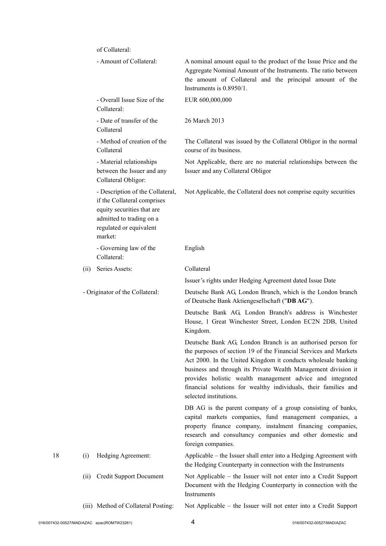| of Collateral: |  |
|----------------|--|
|----------------|--|

|    |                                                                                                                                               | - Amount of Collateral:                                                                                                                                         | A nominal amount equal to the product of the Issue Price and the<br>Aggregate Nominal Amount of the Instruments. The ratio between<br>the amount of Collateral and the principal amount of the<br>Instruments is 0.8950/1.                                                                                                                                                                                                   |
|----|-----------------------------------------------------------------------------------------------------------------------------------------------|-----------------------------------------------------------------------------------------------------------------------------------------------------------------|------------------------------------------------------------------------------------------------------------------------------------------------------------------------------------------------------------------------------------------------------------------------------------------------------------------------------------------------------------------------------------------------------------------------------|
|    |                                                                                                                                               | - Overall Issue Size of the<br>Collateral:                                                                                                                      | EUR 600,000,000                                                                                                                                                                                                                                                                                                                                                                                                              |
|    |                                                                                                                                               | - Date of transfer of the<br>Collateral                                                                                                                         | 26 March 2013                                                                                                                                                                                                                                                                                                                                                                                                                |
|    |                                                                                                                                               | - Method of creation of the<br>Collateral                                                                                                                       | The Collateral was issued by the Collateral Obligor in the normal<br>course of its business.                                                                                                                                                                                                                                                                                                                                 |
|    |                                                                                                                                               | - Material relationships<br>between the Issuer and any<br>Collateral Obligor:                                                                                   | Not Applicable, there are no material relationships between the<br>Issuer and any Collateral Obligor                                                                                                                                                                                                                                                                                                                         |
|    |                                                                                                                                               | - Description of the Collateral,<br>if the Collateral comprises<br>equity securities that are<br>admitted to trading on a<br>regulated or equivalent<br>market: | Not Applicable, the Collateral does not comprise equity securities                                                                                                                                                                                                                                                                                                                                                           |
|    |                                                                                                                                               | - Governing law of the<br>Collateral:                                                                                                                           | English                                                                                                                                                                                                                                                                                                                                                                                                                      |
|    | (ii)                                                                                                                                          | Series Assets:                                                                                                                                                  | Collateral                                                                                                                                                                                                                                                                                                                                                                                                                   |
|    | - Originator of the Collateral:<br>Hedging Agreement:<br>(i)<br><b>Credit Support Document</b><br>(11)<br>(iii) Method of Collateral Posting: | Issuer's rights under Hedging Agreement dated Issue Date                                                                                                        |                                                                                                                                                                                                                                                                                                                                                                                                                              |
|    |                                                                                                                                               |                                                                                                                                                                 | Deutsche Bank AG, London Branch, which is the London branch<br>of Deutsche Bank Aktiengesellschaft ("DB AG").                                                                                                                                                                                                                                                                                                                |
|    |                                                                                                                                               |                                                                                                                                                                 | Deutsche Bank AG, London Branch's address is Winchester<br>House, 1 Great Winchester Street, London EC2N 2DB, United<br>Kingdom.                                                                                                                                                                                                                                                                                             |
|    |                                                                                                                                               |                                                                                                                                                                 | Deutsche Bank AG, London Branch is an authorised person for<br>the purposes of section 19 of the Financial Services and Markets<br>Act 2000. In the United Kingdom it conducts wholesale banking<br>business and through its Private Wealth Management division it<br>provides holistic wealth management advice and integrated<br>financial solutions for wealthy individuals, their families and<br>selected institutions. |
|    |                                                                                                                                               |                                                                                                                                                                 | DB AG is the parent company of a group consisting of banks,<br>capital markets companies, fund management companies, a<br>property finance company, instalment financing companies,<br>research and consultancy companies and other domestic and<br>foreign companies.                                                                                                                                                       |
| 18 |                                                                                                                                               |                                                                                                                                                                 | Applicable – the Issuer shall enter into a Hedging Agreement with<br>the Hedging Counterparty in connection with the Instruments                                                                                                                                                                                                                                                                                             |
|    |                                                                                                                                               |                                                                                                                                                                 | Not Applicable – the Issuer will not enter into a Credit Support<br>Document with the Hedging Counterparty in connection with the<br>Instruments                                                                                                                                                                                                                                                                             |
|    |                                                                                                                                               |                                                                                                                                                                 | Not Applicable – the Issuer will not enter into a Credit Support                                                                                                                                                                                                                                                                                                                                                             |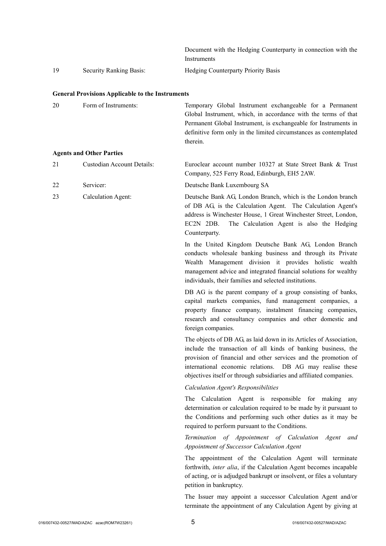|    |                                | Document with the Hedging Counterparty in connection with the |
|----|--------------------------------|---------------------------------------------------------------|
|    |                                | Instruments                                                   |
| 19 | <b>Security Ranking Basis:</b> | <b>Hedging Counterparty Priority Basis</b>                    |

#### **General Provisions Applicable to the Instruments**

| 20 | Form of Instruments: | Temporary Global Instrument exchangeable for a Permanent<br>Global Instrument, which, in accordance with the terms of that<br>Permanent Global Instrument, is exchangeable for Instruments in |
|----|----------------------|-----------------------------------------------------------------------------------------------------------------------------------------------------------------------------------------------|
|    |                      | definitive form only in the limited circumstances as contemplated<br>therein.                                                                                                                 |

#### **Agents and Other Parties**

| 21 | Custodian Account Details: | Euroclear account number 10327 at State Street Bank & Trust |
|----|----------------------------|-------------------------------------------------------------|
|    |                            | Company, 525 Ferry Road, Edinburgh, EH5 2AW.                |
| 22 | Servicer:                  | Deutsche Bank Luxembourg SA                                 |
| 23 | Calculation Agent:         | Deutsche Bank AG, London Branch, which is the London branch |

of DB AG, is the Calculation Agent. The Calculation Agent's address is Winchester House, 1 Great Winchester Street, London, EC2N 2DB. The Calculation Agent is also the Hedging Counterparty.

In the United Kingdom Deutsche Bank AG, London Branch conducts wholesale banking business and through its Private Wealth Management division it provides holistic wealth management advice and integrated financial solutions for wealthy individuals, their families and selected institutions.

DB AG is the parent company of a group consisting of banks, capital markets companies, fund management companies, a property finance company, instalment financing companies, research and consultancy companies and other domestic and foreign companies.

The objects of DB AG, as laid down in its Articles of Association, include the transaction of all kinds of banking business, the provision of financial and other services and the promotion of international economic relations. DB AG may realise these objectives itself or through subsidiaries and affiliated companies.

#### *Calculation Agent's Responsibilities*

The Calculation Agent is responsible for making any determination or calculation required to be made by it pursuant to the Conditions and performing such other duties as it may be required to perform pursuant to the Conditions.

## *Termination of Appointment of Calculation Agent and Appointment of Successor Calculation Agent*

The appointment of the Calculation Agent will terminate forthwith, *inter alia*, if the Calculation Agent becomes incapable of acting, or is adjudged bankrupt or insolvent, or files a voluntary petition in bankruptcy.

The Issuer may appoint a successor Calculation Agent and/or terminate the appointment of any Calculation Agent by giving at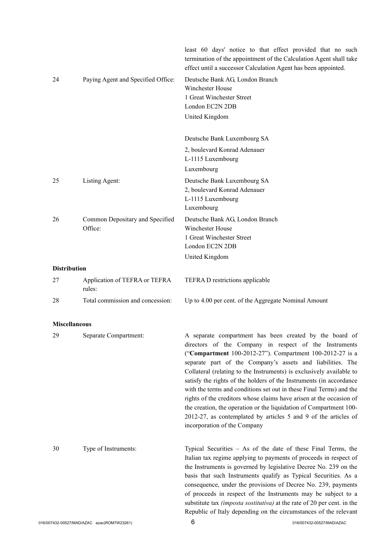|                      |                                         | least 60 days' notice to that effect provided that no such<br>termination of the appointment of the Calculation Agent shall take<br>effect until a successor Calculation Agent has been appointed.                                                                                                                                                                                                                                                                                                                                                                                                                                                                                                                 |
|----------------------|-----------------------------------------|--------------------------------------------------------------------------------------------------------------------------------------------------------------------------------------------------------------------------------------------------------------------------------------------------------------------------------------------------------------------------------------------------------------------------------------------------------------------------------------------------------------------------------------------------------------------------------------------------------------------------------------------------------------------------------------------------------------------|
| 24                   | Paying Agent and Specified Office:      | Deutsche Bank AG, London Branch<br>Winchester House<br>1 Great Winchester Street<br>London EC2N 2DB<br>United Kingdom                                                                                                                                                                                                                                                                                                                                                                                                                                                                                                                                                                                              |
|                      |                                         | Deutsche Bank Luxembourg SA                                                                                                                                                                                                                                                                                                                                                                                                                                                                                                                                                                                                                                                                                        |
|                      |                                         | 2, boulevard Konrad Adenauer<br>L-1115 Luxembourg                                                                                                                                                                                                                                                                                                                                                                                                                                                                                                                                                                                                                                                                  |
|                      |                                         | Luxembourg                                                                                                                                                                                                                                                                                                                                                                                                                                                                                                                                                                                                                                                                                                         |
| 25                   | Listing Agent:                          | Deutsche Bank Luxembourg SA<br>2, boulevard Konrad Adenauer                                                                                                                                                                                                                                                                                                                                                                                                                                                                                                                                                                                                                                                        |
|                      |                                         | L-1115 Luxembourg<br>Luxembourg                                                                                                                                                                                                                                                                                                                                                                                                                                                                                                                                                                                                                                                                                    |
| 26                   | Common Depositary and Specified         | Deutsche Bank AG, London Branch                                                                                                                                                                                                                                                                                                                                                                                                                                                                                                                                                                                                                                                                                    |
|                      | Office:                                 | Winchester House                                                                                                                                                                                                                                                                                                                                                                                                                                                                                                                                                                                                                                                                                                   |
|                      |                                         | 1 Great Winchester Street                                                                                                                                                                                                                                                                                                                                                                                                                                                                                                                                                                                                                                                                                          |
|                      |                                         | London EC2N 2DB                                                                                                                                                                                                                                                                                                                                                                                                                                                                                                                                                                                                                                                                                                    |
|                      |                                         | United Kingdom                                                                                                                                                                                                                                                                                                                                                                                                                                                                                                                                                                                                                                                                                                     |
| <b>Distribution</b>  |                                         |                                                                                                                                                                                                                                                                                                                                                                                                                                                                                                                                                                                                                                                                                                                    |
| 27                   | Application of TEFRA or TEFRA<br>rules: | TEFRA D restrictions applicable                                                                                                                                                                                                                                                                                                                                                                                                                                                                                                                                                                                                                                                                                    |
| 28                   | Total commission and concession:        | Up to 4.00 per cent. of the Aggregate Nominal Amount                                                                                                                                                                                                                                                                                                                                                                                                                                                                                                                                                                                                                                                               |
|                      |                                         |                                                                                                                                                                                                                                                                                                                                                                                                                                                                                                                                                                                                                                                                                                                    |
| <b>Miscellaneous</b> |                                         |                                                                                                                                                                                                                                                                                                                                                                                                                                                                                                                                                                                                                                                                                                                    |
| 29                   | Separate Compartment:                   | A separate compartment has been created by the board of<br>directors of the Company in respect of the Instruments<br>("Compartment 100-2012-27"). Compartment 100-2012-27 is a<br>separate part of the Company's assets and liabilities. The<br>Collateral (relating to the Instruments) is exclusively available to<br>satisfy the rights of the holders of the Instruments (in accordance<br>with the terms and conditions set out in these Final Terms) and the<br>rights of the creditors whose claims have arisen at the occasion of<br>the creation, the operation or the liquidation of Compartment 100-<br>2012-27, as contemplated by articles 5 and 9 of the articles of<br>incorporation of the Company |
| 30                   | Type of Instruments:                    | Typical Securities - As of the date of these Final Terms, the<br>Italian tax regime applying to payments of proceeds in respect of<br>the Instruments is governed by legislative Decree No. 239 on the<br>basis that such Instruments qualify as Typical Securities. As a<br>consequence, under the provisions of Decree No. 239, payments<br>of proceeds in respect of the Instruments may be subject to a<br>substitute tax <i>(imposta sostitutiva)</i> at the rate of 20 per cent. in the<br>Republic of Italy depending on the circumstances of the relevant                                                                                                                                                  |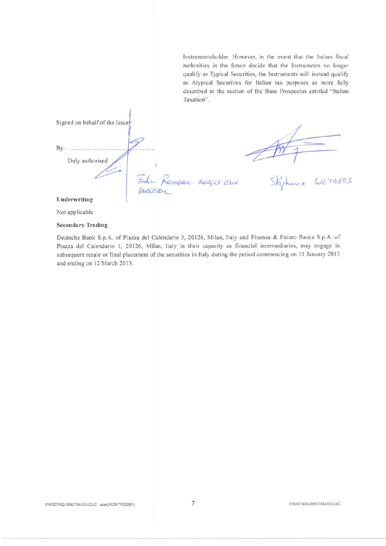Instrumentsholder. However, in the event that the Italian fiscal authorities in the future decide that the Instruments no longer qualify as Typical Securities, the Instruments will instead qualify as Atypical Securities for Italian tax purposes as more fully described in the section of the Base Prospectus entitled "Italian Taxation".

Signed on behalf of the Issuer: Duly authorised Festiva Romanoc-BULLES EEU Stephene WEYNERS Underwriting

Not applicable

#### **Secondary Trading**

Deutsche Bank S.p.A. of Piazza del Calendario 3, 20126, Milan, Italy and Finanza & Futuro Banca S.p.A. of Piazza del Calendario 1, 20126, Milan, Italy in their capacity as financial intermediaries, may engage in subsequent resale or final placement of the securities in Italy during the period commencing on 11 January 2013 and ending on 12 March 2013.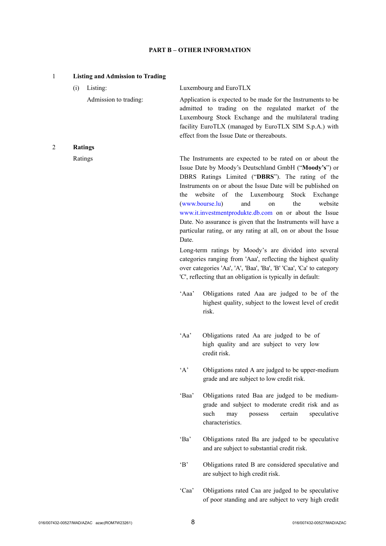### **PART B – OTHER INFORMATION**

| $\mathbf{1}$ |     | <b>Listing and Admission to Trading</b> |              |                                                                                                                                                                                                                                                                                                                                                                                                                                                                                                                                   |
|--------------|-----|-----------------------------------------|--------------|-----------------------------------------------------------------------------------------------------------------------------------------------------------------------------------------------------------------------------------------------------------------------------------------------------------------------------------------------------------------------------------------------------------------------------------------------------------------------------------------------------------------------------------|
|              | (i) | Listing:                                |              | Luxembourg and EuroTLX                                                                                                                                                                                                                                                                                                                                                                                                                                                                                                            |
|              |     | Admission to trading:                   |              | Application is expected to be made for the Instruments to be<br>admitted to trading on the regulated market of the<br>Luxembourg Stock Exchange and the multilateral trading<br>facility EuroTLX (managed by EuroTLX SIM S.p.A.) with<br>effect from the Issue Date or thereabouts.                                                                                                                                                                                                                                               |
| 2            |     | <b>Ratings</b>                          |              |                                                                                                                                                                                                                                                                                                                                                                                                                                                                                                                                   |
|              |     | Ratings                                 | the<br>Date. | The Instruments are expected to be rated on or about the<br>Issue Date by Moody's Deutschland GmbH ("Moody's") or<br>DBRS Ratings Limited ("DBRS"). The rating of the<br>Instruments on or about the Issue Date will be published on<br>website of the Luxembourg<br>Stock Exchange<br>(www.bourse.lu)<br>the<br>website<br>and<br>on<br>www.it.investmentprodukte.db.com on or about the Issue<br>Date. No assurance is given that the Instruments will have a<br>particular rating, or any rating at all, on or about the Issue |
|              |     |                                         |              | Long-term ratings by Moody's are divided into several<br>categories ranging from 'Aaa', reflecting the highest quality<br>over categories 'Aa', 'A', 'Baa', 'Ba', 'B' 'Caa', 'Ca' to category<br>'C', reflecting that an obligation is typically in default:                                                                                                                                                                                                                                                                      |
|              |     |                                         | 'Aaa'        | Obligations rated Aaa are judged to be of the<br>highest quality, subject to the lowest level of credit<br>risk.                                                                                                                                                                                                                                                                                                                                                                                                                  |
|              |     |                                         | ' A a'       | Obligations rated Aa are judged to be of<br>high quality and are subject to very low<br>credit risk.                                                                                                                                                                                                                                                                                                                                                                                                                              |
|              |     |                                         | $\Delta$     | Obligations rated A are judged to be upper-medium<br>grade and are subject to low credit risk.                                                                                                                                                                                                                                                                                                                                                                                                                                    |
|              |     |                                         | 'Baa'        | Obligations rated Baa are judged to be medium-<br>grade and subject to moderate credit risk and as<br>such<br>may<br>certain<br>possess<br>speculative<br>characteristics.                                                                                                                                                                                                                                                                                                                                                        |
|              |     |                                         | 'Ba'         | Obligations rated Ba are judged to be speculative<br>and are subject to substantial credit risk.                                                                                                                                                                                                                                                                                                                                                                                                                                  |
|              |     |                                         | $\Delta$     | Obligations rated B are considered speculative and<br>are subject to high credit risk.                                                                                                                                                                                                                                                                                                                                                                                                                                            |
|              |     |                                         | 'Caa'        | Obligations rated Caa are judged to be speculative<br>of poor standing and are subject to very high credit                                                                                                                                                                                                                                                                                                                                                                                                                        |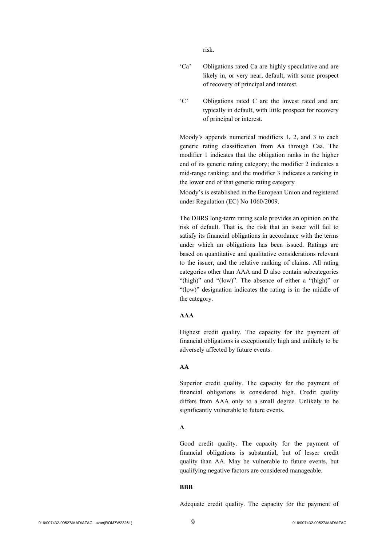risk.

- 'Ca' Obligations rated Ca are highly speculative and are likely in, or very near, default, with some prospect of recovery of principal and interest.
- 'C' Obligations rated C are the lowest rated and are typically in default, with little prospect for recovery of principal or interest.

Moody's appends numerical modifiers 1, 2, and 3 to each generic rating classification from Aa through Caa. The modifier 1 indicates that the obligation ranks in the higher end of its generic rating category; the modifier 2 indicates a mid-range ranking; and the modifier 3 indicates a ranking in the lower end of that generic rating category.

Moody's is established in the European Union and registered under Regulation (EC) No 1060/2009.

The DBRS long-term rating scale provides an opinion on the risk of default. That is, the risk that an issuer will fail to satisfy its financial obligations in accordance with the terms under which an obligations has been issued. Ratings are based on quantitative and qualitative considerations relevant to the issuer, and the relative ranking of claims. All rating categories other than AAA and D also contain subcategories "(high)" and "(low)". The absence of either a "(high)" or "(low)" designation indicates the rating is in the middle of the category.

## **AAA**

Highest credit quality. The capacity for the payment of financial obligations is exceptionally high and unlikely to be adversely affected by future events.

#### **AA**

Superior credit quality. The capacity for the payment of financial obligations is considered high. Credit quality differs from AAA only to a small degree. Unlikely to be significantly vulnerable to future events.

#### **A**

Good credit quality. The capacity for the payment of financial obligations is substantial, but of lesser credit quality than AA. May be vulnerable to future events, but qualifying negative factors are considered manageable.

#### **BBB**

Adequate credit quality. The capacity for the payment of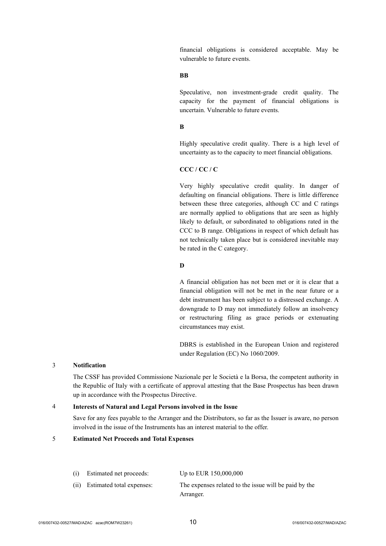financial obligations is considered acceptable. May be vulnerable to future events.

### **BB**

Speculative, non investment-grade credit quality. The capacity for the payment of financial obligations is uncertain. Vulnerable to future events.

#### **B**

Highly speculative credit quality. There is a high level of uncertainty as to the capacity to meet financial obligations.

#### **CCC / CC / C**

Very highly speculative credit quality. In danger of defaulting on financial obligations. There is little difference between these three categories, although CC and C ratings are normally applied to obligations that are seen as highly likely to default, or subordinated to obligations rated in the CCC to B range. Obligations in respect of which default has not technically taken place but is considered inevitable may be rated in the C category.

#### **D**

A financial obligation has not been met or it is clear that a financial obligation will not be met in the near future or a debt instrument has been subject to a distressed exchange. A downgrade to D may not immediately follow an insolvency or restructuring filing as grace periods or extenuating circumstances may exist.

DBRS is established in the European Union and registered under Regulation (EC) No 1060/2009.

### 3 **Notification**

The CSSF has provided Commissione Nazionale per le Società e la Borsa, the competent authority in the Republic of Italy with a certificate of approval attesting that the Base Prospectus has been drawn up in accordance with the Prospectus Directive.

#### 4 **Interests of Natural and Legal Persons involved in the Issue**

Save for any fees payable to the Arranger and the Distributors, so far as the Issuer is aware, no person involved in the issue of the Instruments has an interest material to the offer.

#### 5 **Estimated Net Proceeds and Total Expenses**

| (i) | Estimated net proceeds:   | Up to EUR $150,000,000$                               |
|-----|---------------------------|-------------------------------------------------------|
| (i) | Estimated total expenses: | The expenses related to the issue will be paid by the |
|     |                           | Arranger.                                             |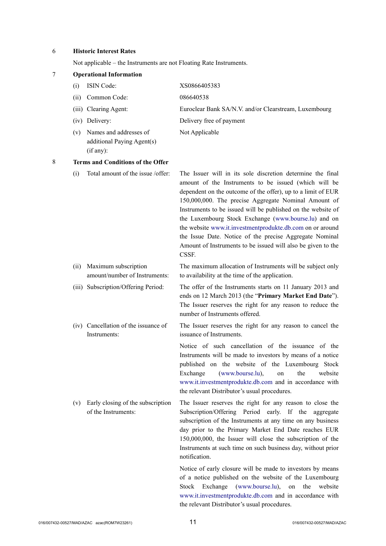## 6 **Historic Interest Rates**

Not applicable – the Instruments are not Floating Rate Instruments.

| 7 |       | <b>Operational Information</b>                                    |                                                                                                                                                                                                                                                                                                                                                                                                                                                                                                                                                                      |
|---|-------|-------------------------------------------------------------------|----------------------------------------------------------------------------------------------------------------------------------------------------------------------------------------------------------------------------------------------------------------------------------------------------------------------------------------------------------------------------------------------------------------------------------------------------------------------------------------------------------------------------------------------------------------------|
|   | (i)   | ISIN Code:                                                        | XS0866405383                                                                                                                                                                                                                                                                                                                                                                                                                                                                                                                                                         |
|   | (ii)  | Common Code:                                                      | 086640538                                                                                                                                                                                                                                                                                                                                                                                                                                                                                                                                                            |
|   | (iii) | Clearing Agent:                                                   | Euroclear Bank SA/N.V. and/or Clearstream, Luxembourg                                                                                                                                                                                                                                                                                                                                                                                                                                                                                                                |
|   |       | (iv) Delivery:                                                    | Delivery free of payment                                                                                                                                                                                                                                                                                                                                                                                                                                                                                                                                             |
|   | (v)   | Names and addresses of<br>additional Paying Agent(s)<br>(if any): | Not Applicable                                                                                                                                                                                                                                                                                                                                                                                                                                                                                                                                                       |
| 8 |       | <b>Terms and Conditions of the Offer</b>                          |                                                                                                                                                                                                                                                                                                                                                                                                                                                                                                                                                                      |
|   | (i)   | Total amount of the issue /offer:                                 | The Issuer will in its sole discretion determine the final<br>amount of the Instruments to be issued (which will be<br>dependent on the outcome of the offer), up to a limit of EUR<br>150,000,000. The precise Aggregate Nominal Amount of<br>Instruments to be issued will be published on the website of<br>the Luxembourg Stock Exchange (www.bourse.lu) and on<br>the website www.it.investmentprodukte.db.com on or around<br>the Issue Date. Notice of the precise Aggregate Nominal<br>Amount of Instruments to be issued will also be given to the<br>CSSF. |
|   | (ii)  | Maximum subscription<br>amount/number of Instruments:             | The maximum allocation of Instruments will be subject only<br>to availability at the time of the application.                                                                                                                                                                                                                                                                                                                                                                                                                                                        |
|   |       | (iii) Subscription/Offering Period:                               | The offer of the Instruments starts on 11 January 2013 and<br>ends on 12 March 2013 (the "Primary Market End Date").<br>The Issuer reserves the right for any reason to reduce the<br>number of Instruments offered.                                                                                                                                                                                                                                                                                                                                                 |
|   |       | (iv) Cancellation of the issuance of<br>Instruments:              | The Issuer reserves the right for any reason to cancel the<br>issuance of Instruments.                                                                                                                                                                                                                                                                                                                                                                                                                                                                               |
|   |       |                                                                   | Notice of such cancellation of the issuance of the<br>Instruments will be made to investors by means of a notice<br>published on the website of the Luxembourg Stock<br>(www.bourse.lu),<br>Exchange<br>the<br>website<br>on<br>www.it.investmentprodukte.db.com and in accordance with<br>the relevant Distributor's usual procedures.                                                                                                                                                                                                                              |
|   | (v)   | Early closing of the subscription<br>of the Instruments:          | The Issuer reserves the right for any reason to close the<br>Subscription/Offering Period early. If the<br>aggregate<br>subscription of the Instruments at any time on any business<br>day prior to the Primary Market End Date reaches EUR<br>150,000,000, the Issuer will close the subscription of the<br>Instruments at such time on such business day, without prior<br>notification.<br>Notice of early closure will be made to investors by means                                                                                                             |
|   |       |                                                                   | of a notice published on the website of the Luxembourg<br>Exchange<br>(www.bourse.lu),<br>the<br>website<br>Stock<br>on<br>www.it.investmentprodukte.db.com and in accordance with                                                                                                                                                                                                                                                                                                                                                                                   |

the relevant Distributor's usual procedures.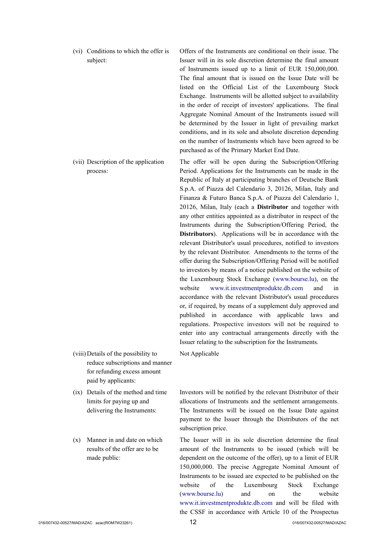- (vi) Conditions to which the offer is subject: Offers of the Instruments are conditional on their issue. The Issuer will in its sole discretion determine the final amount of Instruments issued up to a limit of EUR 150,000,000. The final amount that is issued on the Issue Date will be listed on the Official List of the Luxembourg Stock Exchange. Instruments will be allotted subject to availability in the order of receipt of investors' applications. The final Aggregate Nominal Amount of the Instruments issued will be determined by the Issuer in light of prevailing market conditions, and in its sole and absolute discretion depending on the number of Instruments which have been agreed to be purchased as of the Primary Market End Date.
- (vii) Description of the application process: The offer will be open during the Subscription/Offering Period. Applications for the Instruments can be made in the Republic of Italy at participating branches of Deutsche Bank S.p.A. of Piazza del Calendario 3, 20126, Milan, Italy and Finanza & Futuro Banca S.p.A. of Piazza del Calendario 1, 20126, Milan, Italy (each a **Distributor** and together with any other entities appointed as a distributor in respect of the Instruments during the Subscription/Offering Period, the **Distributors**). Applications will be in accordance with the relevant Distributor's usual procedures, notified to investors by the relevant Distributor. Amendments to the terms of the offer during the Subscription/Offering Period will be notified to investors by means of a notice published on the website of the Luxembourg Stock Exchange ([www.bourse.lu](http://www.bourse.lu/)), on the website [www.it.investmentprodukte.db.com](http://www.it.investmentprodukte.db.com/) and in accordance with the relevant Distributor's usual procedures or, if required, by means of a supplement duly approved and published in accordance with applicable laws and regulations. Prospective investors will not be required to enter into any contractual arrangements directly with the Issuer relating to the subscription for the Instruments.
- (viii)Details of the possibility to reduce subscriptions and manner for refunding excess amount paid by applicants:
- (ix) Details of the method and time limits for paying up and delivering the Instruments:
- (x) Manner in and date on which results of the offer are to be made public:

Not Applicable

Investors will be notified by the relevant Distributor of their allocations of Instruments and the settlement arrangements. The Instruments will be issued on the Issue Date against payment to the Issuer through the Distributors of the net subscription price.

The Issuer will in its sole discretion determine the final amount of the Instruments to be issued (which will be dependent on the outcome of the offer), up to a limit of EUR 150,000,000. The precise Aggregate Nominal Amount of Instruments to be issued are expected to be published on the website of the Luxembourg Stock Exchange [\(www.bourse.lu\)](http://www.bourse.lu/) and on the website [www.it.investmentprodukte.db.com](http://www.it.investmentprodukte.db.com/) and will be filed with the CSSF in accordance with Article 10 of the Prospectus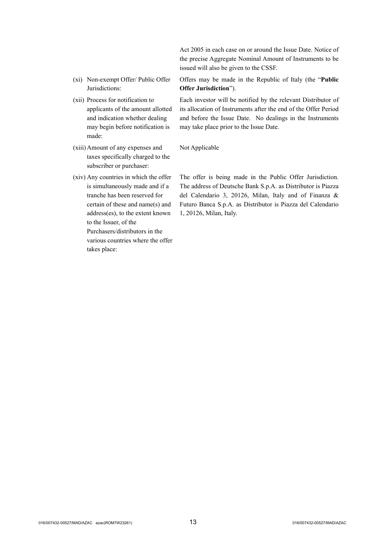Act 2005 in each case on or around the Issue Date. Notice of the precise Aggregate Nominal Amount of Instruments to be issued will also be given to the CSSF.

- (xi) Non-exempt Offer/ Public Offer Jurisdictions:
- (xii) Process for notification to applicants of the amount allotted and indication whether dealing may begin before notification is made:
- (xiii)Amount of any expenses and taxes specifically charged to the subscriber or purchaser:
- (xiv) Any countries in which the offer is simultaneously made and if a tranche has been reserved for certain of these and name(s) and address(es), to the extent known to the Issuer, of the Purchasers/distributors in the various countries where the offer takes place:

Offers may be made in the Republic of Italy (the "**Public Offer Jurisdiction**").

Each investor will be notified by the relevant Distributor of its allocation of Instruments after the end of the Offer Period and before the Issue Date. No dealings in the Instruments may take place prior to the Issue Date.

#### Not Applicable

The offer is being made in the Public Offer Jurisdiction. The address of Deutsche Bank S.p.A. as Distributor is Piazza del Calendario 3, 20126, Milan, Italy and of Finanza & Futuro Banca S.p.A. as Distributor is Piazza del Calendario 1, 20126, Milan, Italy.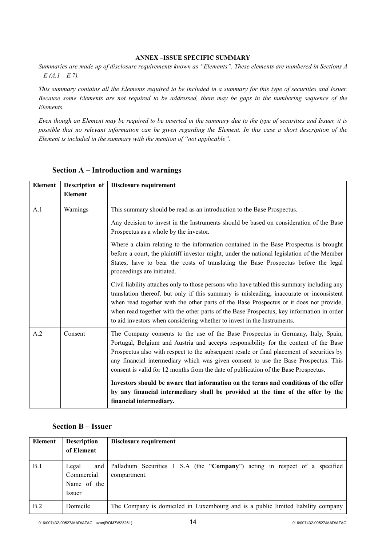#### **ANNEX –ISSUE SPECIFIC SUMMARY**

*Summaries are made up of disclosure requirements known as "Elements". These elements are numbered in Sections A – E (A.1 – E.7).*

*This summary contains all the Elements required to be included in a summary for this type of securities and Issuer. Because some Elements are not required to be addressed, there may be gaps in the numbering sequence of the Elements.*

*Even though an Element may be required to be inserted in the summary due to the type of securities and Issuer, it is possible that no relevant information can be given regarding the Element. In this case a short description of the Element is included in the summary with the mention of "not applicable".*

| <b>Element</b> | Description of | Disclosure requirement                                                                                                                                                                                                                                                                                                                                                                                                                                |
|----------------|----------------|-------------------------------------------------------------------------------------------------------------------------------------------------------------------------------------------------------------------------------------------------------------------------------------------------------------------------------------------------------------------------------------------------------------------------------------------------------|
|                | <b>Element</b> |                                                                                                                                                                                                                                                                                                                                                                                                                                                       |
| A.1            | Warnings       | This summary should be read as an introduction to the Base Prospectus.                                                                                                                                                                                                                                                                                                                                                                                |
|                |                | Any decision to invest in the Instruments should be based on consideration of the Base<br>Prospectus as a whole by the investor.                                                                                                                                                                                                                                                                                                                      |
|                |                | Where a claim relating to the information contained in the Base Prospectus is brought<br>before a court, the plaintiff investor might, under the national legislation of the Member<br>States, have to bear the costs of translating the Base Prospectus before the legal<br>proceedings are initiated.                                                                                                                                               |
|                |                | Civil liability attaches only to those persons who have tabled this summary including any<br>translation thereof, but only if this summary is misleading, inaccurate or inconsistent<br>when read together with the other parts of the Base Prospectus or it does not provide,<br>when read together with the other parts of the Base Prospectus, key information in order<br>to aid investors when considering whether to invest in the Instruments. |
| A.2            | Consent        | The Company consents to the use of the Base Prospectus in Germany, Italy, Spain,<br>Portugal, Belgium and Austria and accepts responsibility for the content of the Base<br>Prospectus also with respect to the subsequent resale or final placement of securities by<br>any financial intermediary which was given consent to use the Base Prospectus. This<br>consent is valid for 12 months from the date of publication of the Base Prospectus.   |
|                |                | Investors should be aware that information on the terms and conditions of the offer<br>by any financial intermediary shall be provided at the time of the offer by the<br>financial intermediary.                                                                                                                                                                                                                                                     |

## **Section A – Introduction and warnings**

## **Section B – Issuer**

| Element | <b>Description</b><br>of Element                    | Disclosure requirement                                                                      |
|---------|-----------------------------------------------------|---------------------------------------------------------------------------------------------|
| B.1     | Legal<br>and<br>Commercial<br>Name of the<br>Issuer | Palladium Securities 1 S.A (the "Company") acting in respect of a specified<br>compartment. |
| B.2     | Domicile                                            | The Company is domiciled in Luxembourg and is a public limited liability company            |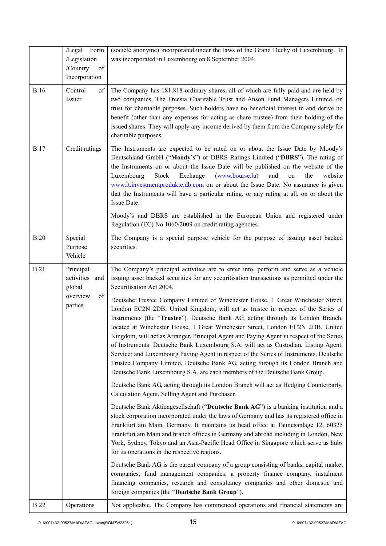|             | /Legal Form                                                        | (société anonyme) incorporated under the laws of the Grand Duchy of Luxembourg . It                                                                                                                                                                                                                                                                                                                                                                                                                                                                                                                                                                                                                                                                                                       |
|-------------|--------------------------------------------------------------------|-------------------------------------------------------------------------------------------------------------------------------------------------------------------------------------------------------------------------------------------------------------------------------------------------------------------------------------------------------------------------------------------------------------------------------------------------------------------------------------------------------------------------------------------------------------------------------------------------------------------------------------------------------------------------------------------------------------------------------------------------------------------------------------------|
|             | /Legislation<br>/Country<br>of                                     | was incorporated in Luxembourg on 8 September 2004.                                                                                                                                                                                                                                                                                                                                                                                                                                                                                                                                                                                                                                                                                                                                       |
|             | Incorporation                                                      |                                                                                                                                                                                                                                                                                                                                                                                                                                                                                                                                                                                                                                                                                                                                                                                           |
| <b>B.16</b> | Control<br>of<br>Issuer                                            | The Company has 181,818 ordinary shares, all of which are fully paid and are held by<br>two companies, The Freesia Charitable Trust and Anson Fund Managers Limited, on<br>trust for charitable purposes. Such holders have no beneficial interest in and derive no<br>benefit (other than any expenses for acting as share trustee) from their holding of the<br>issued shares. They will apply any income derived by them from the Company solely for<br>charitable purposes.                                                                                                                                                                                                                                                                                                           |
| <b>B.17</b> | Credit ratings                                                     | The Instruments are expected to be rated on or about the Issue Date by Moody's<br>Deutschland GmbH ("Moody's") or DBRS Ratings Limited ("DBRS"). The rating of<br>the Instruments on or about the Issue Date will be published on the website of the<br>(www.bourse.lu)<br>and<br>Luxembourg<br>Stock<br>Exchange<br>the<br>website<br>on<br>www.it.investmentprodukte.db.com on or about the Issue Date. No assurance is given<br>that the Instruments will have a particular rating, or any rating at all, on or about the<br>Issue Date.                                                                                                                                                                                                                                               |
|             |                                                                    | Moody's and DBRS are established in the European Union and registered under<br>Regulation (EC) No 1060/2009 on credit rating agencies.                                                                                                                                                                                                                                                                                                                                                                                                                                                                                                                                                                                                                                                    |
| <b>B.20</b> | Special<br>Purpose<br>Vehicle                                      | The Company is a special purpose vehicle for the purpose of issuing asset backed<br>securities.                                                                                                                                                                                                                                                                                                                                                                                                                                                                                                                                                                                                                                                                                           |
| <b>B.21</b> | Principal<br>activities and<br>global<br>overview<br>of<br>parties | The Company's principal activities are to enter into, perform and serve as a vehicle<br>issuing asset backed securities for any securitisation transactions as permitted under the<br>Securitisation Act 2004.                                                                                                                                                                                                                                                                                                                                                                                                                                                                                                                                                                            |
|             |                                                                    | Deutsche Trustee Company Limited of Winchester House, 1 Great Winchester Street,<br>London EC2N 2DB, United Kingdom, will act as trustee in respect of the Series of<br>Instruments (the "Trustee"). Deutsche Bank AG, acting through its London Branch,<br>located at Winchester House, 1 Great Winchester Street, London EC2N 2DB, United<br>Kingdom, will act as Arranger, Principal Agent and Paying Agent in respect of the Series<br>of Instruments. Deutsche Bank Luxembourg S.A. will act as Custodian, Listing Agent,<br>Servicer and Luxembourg Paying Agent in respect of the Series of Instruments. Deutsche<br>Trustee Company Limited, Deutsche Bank AG, acting through its London Branch and<br>Deutsche Bank Luxembourg S.A. are each members of the Deutsche Bank Group. |
|             |                                                                    | Deutsche Bank AG, acting through its London Branch will act as Hedging Counterparty,<br>Calculation Agent, Selling Agent and Purchaser.                                                                                                                                                                                                                                                                                                                                                                                                                                                                                                                                                                                                                                                   |
|             |                                                                    | Deutsche Bank Aktiengesellschaft ("Deutsche Bank AG") is a banking institution and a<br>stock corporation incorporated under the laws of Germany and has its registered office in<br>Frankfurt am Main, Germany. It maintains its head office at Taunusanlage 12, 60325<br>Frankfurt am Main and branch offices in Germany and abroad including in London, New<br>York, Sydney, Tokyo and an Asia-Pacific Head Office in Singapore which serve as hubs<br>for its operations in the respective regions.                                                                                                                                                                                                                                                                                   |
|             |                                                                    | Deutsche Bank AG is the parent company of a group consisting of banks, capital market<br>companies, fund management companies, a property finance company, instalment<br>financing companies, research and consultancy companies and other domestic and<br>foreign companies (the "Deutsche Bank Group").                                                                                                                                                                                                                                                                                                                                                                                                                                                                                 |
| <b>B.22</b> | Operations                                                         | Not applicable. The Company has commenced operations and financial statements are                                                                                                                                                                                                                                                                                                                                                                                                                                                                                                                                                                                                                                                                                                         |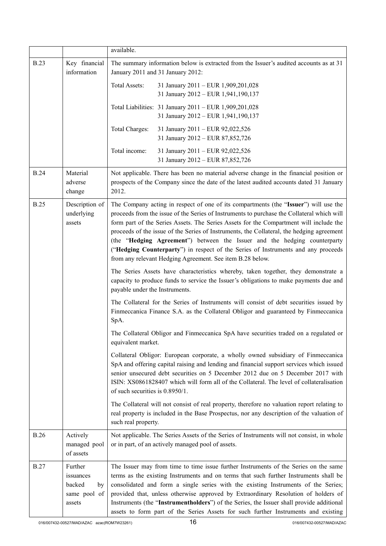|             |                                                                | available.                                                                                                                                                                                                                                                                                                                                                                                                                                                                                                                                                                                               |
|-------------|----------------------------------------------------------------|----------------------------------------------------------------------------------------------------------------------------------------------------------------------------------------------------------------------------------------------------------------------------------------------------------------------------------------------------------------------------------------------------------------------------------------------------------------------------------------------------------------------------------------------------------------------------------------------------------|
| <b>B.23</b> | Key financial<br>information                                   | The summary information below is extracted from the Issuer's audited accounts as at 31<br>January 2011 and 31 January 2012:                                                                                                                                                                                                                                                                                                                                                                                                                                                                              |
|             |                                                                | Total Assets:<br>31 January 2011 - EUR 1,909,201,028<br>31 January 2012 - EUR 1,941,190,137                                                                                                                                                                                                                                                                                                                                                                                                                                                                                                              |
|             |                                                                | Total Liabilities: 31 January 2011 - EUR 1,909,201,028<br>31 January 2012 - EUR 1,941,190,137                                                                                                                                                                                                                                                                                                                                                                                                                                                                                                            |
|             |                                                                | Total Charges:<br>31 January 2011 - EUR 92,022,526<br>31 January 2012 - EUR 87,852,726                                                                                                                                                                                                                                                                                                                                                                                                                                                                                                                   |
|             |                                                                | Total income:<br>31 January 2011 - EUR 92,022,526<br>31 January 2012 - EUR 87,852,726                                                                                                                                                                                                                                                                                                                                                                                                                                                                                                                    |
| <b>B.24</b> | Material<br>adverse<br>change                                  | Not applicable. There has been no material adverse change in the financial position or<br>prospects of the Company since the date of the latest audited accounts dated 31 January<br>2012.                                                                                                                                                                                                                                                                                                                                                                                                               |
| <b>B.25</b> | Description of<br>underlying<br>assets                         | The Company acting in respect of one of its compartments (the "Issuer") will use the<br>proceeds from the issue of the Series of Instruments to purchase the Collateral which will<br>form part of the Series Assets. The Series Assets for the Compartment will include the<br>proceeds of the issue of the Series of Instruments, the Collateral, the hedging agreement<br>(the "Hedging Agreement") between the Issuer and the hedging counterparty<br>("Hedging Counterparty") in respect of the Series of Instruments and any proceeds<br>from any relevant Hedging Agreement. See item B.28 below. |
|             |                                                                | The Series Assets have characteristics whereby, taken together, they demonstrate a<br>capacity to produce funds to service the Issuer's obligations to make payments due and<br>payable under the Instruments.                                                                                                                                                                                                                                                                                                                                                                                           |
|             |                                                                | The Collateral for the Series of Instruments will consist of debt securities issued by<br>Finmeccanica Finance S.A. as the Collateral Obligor and guaranteed by Finmeccanica<br>SpA.                                                                                                                                                                                                                                                                                                                                                                                                                     |
|             |                                                                | The Collateral Obligor and Finmeccanica SpA have securities traded on a regulated or<br>equivalent market.                                                                                                                                                                                                                                                                                                                                                                                                                                                                                               |
|             |                                                                | Collateral Obligor: European corporate, a wholly owned subsidiary of Finmeccanica<br>SpA and offering capital raising and lending and financial support services which issued<br>senior unsecured debt securities on 5 December 2012 due on 5 December 2017 with<br>ISIN: XS0861828407 which will form all of the Collateral. The level of collateralisation<br>of such securities is 0.8950/1.                                                                                                                                                                                                          |
|             |                                                                | The Collateral will not consist of real property, therefore no valuation report relating to<br>real property is included in the Base Prospectus, nor any description of the valuation of<br>such real property.                                                                                                                                                                                                                                                                                                                                                                                          |
| <b>B.26</b> | Actively<br>managed pool<br>of assets                          | Not applicable. The Series Assets of the Series of Instruments will not consist, in whole<br>or in part, of an actively managed pool of assets.                                                                                                                                                                                                                                                                                                                                                                                                                                                          |
| <b>B.27</b> | Further<br>issuances<br>backed<br>by<br>same pool of<br>assets | The Issuer may from time to time issue further Instruments of the Series on the same<br>terms as the existing Instruments and on terms that such further Instruments shall be<br>consolidated and form a single series with the existing Instruments of the Series;<br>provided that, unless otherwise approved by Extraordinary Resolution of holders of<br>Instruments (the "Instrumentholders") of the Series, the Issuer shall provide additional<br>assets to form part of the Series Assets for such further Instruments and existing                                                              |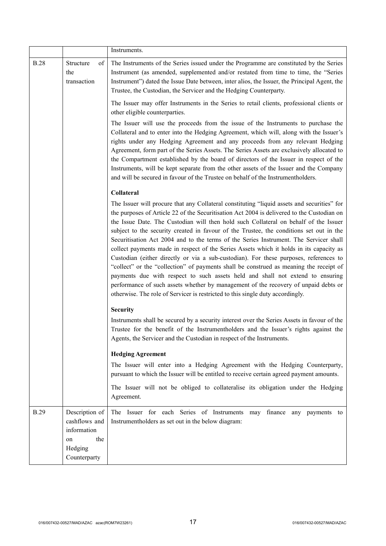|             |                                                                                        | Instruments.                                                                                                                                                                                                                                                                                                                                                                                                                                                                                                                                                                                                                                                                                                                                                                                                                                                                                                                                                                                                   |
|-------------|----------------------------------------------------------------------------------------|----------------------------------------------------------------------------------------------------------------------------------------------------------------------------------------------------------------------------------------------------------------------------------------------------------------------------------------------------------------------------------------------------------------------------------------------------------------------------------------------------------------------------------------------------------------------------------------------------------------------------------------------------------------------------------------------------------------------------------------------------------------------------------------------------------------------------------------------------------------------------------------------------------------------------------------------------------------------------------------------------------------|
| <b>B.28</b> | Structure<br>of<br>the<br>transaction                                                  | The Instruments of the Series issued under the Programme are constituted by the Series<br>Instrument (as amended, supplemented and/or restated from time to time, the "Series"<br>Instrument") dated the Issue Date between, inter alios, the Issuer, the Principal Agent, the<br>Trustee, the Custodian, the Servicer and the Hedging Counterparty.                                                                                                                                                                                                                                                                                                                                                                                                                                                                                                                                                                                                                                                           |
|             |                                                                                        | The Issuer may offer Instruments in the Series to retail clients, professional clients or<br>other eligible counterparties.                                                                                                                                                                                                                                                                                                                                                                                                                                                                                                                                                                                                                                                                                                                                                                                                                                                                                    |
|             |                                                                                        | The Issuer will use the proceeds from the issue of the Instruments to purchase the<br>Collateral and to enter into the Hedging Agreement, which will, along with the Issuer's<br>rights under any Hedging Agreement and any proceeds from any relevant Hedging<br>Agreement, form part of the Series Assets. The Series Assets are exclusively allocated to<br>the Compartment established by the board of directors of the Issuer in respect of the<br>Instruments, will be kept separate from the other assets of the Issuer and the Company<br>and will be secured in favour of the Trustee on behalf of the Instrumentholders.                                                                                                                                                                                                                                                                                                                                                                             |
|             |                                                                                        | Collateral                                                                                                                                                                                                                                                                                                                                                                                                                                                                                                                                                                                                                                                                                                                                                                                                                                                                                                                                                                                                     |
|             |                                                                                        | The Issuer will procure that any Collateral constituting "liquid assets and securities" for<br>the purposes of Article 22 of the Securitisation Act 2004 is delivered to the Custodian on<br>the Issue Date. The Custodian will then hold such Collateral on behalf of the Issuer<br>subject to the security created in favour of the Trustee, the conditions set out in the<br>Securitisation Act 2004 and to the terms of the Series Instrument. The Servicer shall<br>collect payments made in respect of the Series Assets which it holds in its capacity as<br>Custodian (either directly or via a sub-custodian). For these purposes, references to<br>"collect" or the "collection" of payments shall be construed as meaning the receipt of<br>payments due with respect to such assets held and shall not extend to ensuring<br>performance of such assets whether by management of the recovery of unpaid debts or<br>otherwise. The role of Servicer is restricted to this single duty accordingly. |
|             |                                                                                        | <b>Security</b>                                                                                                                                                                                                                                                                                                                                                                                                                                                                                                                                                                                                                                                                                                                                                                                                                                                                                                                                                                                                |
|             |                                                                                        | Instruments shall be secured by a security interest over the Series Assets in favour of the<br>Trustee for the benefit of the Instrumentholders and the Issuer's rights against the<br>Agents, the Servicer and the Custodian in respect of the Instruments.                                                                                                                                                                                                                                                                                                                                                                                                                                                                                                                                                                                                                                                                                                                                                   |
|             |                                                                                        | <b>Hedging Agreement</b>                                                                                                                                                                                                                                                                                                                                                                                                                                                                                                                                                                                                                                                                                                                                                                                                                                                                                                                                                                                       |
|             |                                                                                        | The Issuer will enter into a Hedging Agreement with the Hedging Counterparty,<br>pursuant to which the Issuer will be entitled to receive certain agreed payment amounts.                                                                                                                                                                                                                                                                                                                                                                                                                                                                                                                                                                                                                                                                                                                                                                                                                                      |
|             |                                                                                        | The Issuer will not be obliged to collateralise its obligation under the Hedging<br>Agreement.                                                                                                                                                                                                                                                                                                                                                                                                                                                                                                                                                                                                                                                                                                                                                                                                                                                                                                                 |
| <b>B.29</b> | Description of<br>cashflows and<br>information<br>the<br>on<br>Hedging<br>Counterparty | The Issuer for each Series of Instruments<br>may finance<br>any payments to<br>Instrumentholders as set out in the below diagram:                                                                                                                                                                                                                                                                                                                                                                                                                                                                                                                                                                                                                                                                                                                                                                                                                                                                              |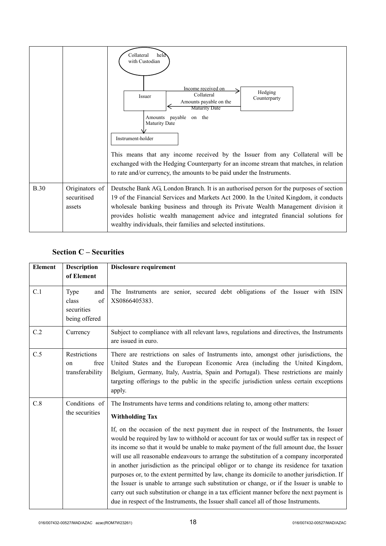|             |                                         | Collateral<br>held<br>with Custodian<br>Income received on<br>Hedging<br>Collateral<br>Issuer<br>Counterparty<br>Amounts payable on the<br><b>Maturity Date</b><br>payable on the<br>Amounts<br>Maturity Date<br>Instrument-holder<br>This means that any income received by the Issuer from any Collateral will be<br>exchanged with the Hedging Counterparty for an income stream that matches, in relation<br>to rate and/or currency, the amounts to be paid under the Instruments. |
|-------------|-----------------------------------------|-----------------------------------------------------------------------------------------------------------------------------------------------------------------------------------------------------------------------------------------------------------------------------------------------------------------------------------------------------------------------------------------------------------------------------------------------------------------------------------------|
| <b>B.30</b> | Originators of<br>securitised<br>assets | Deutsche Bank AG, London Branch. It is an authorised person for the purposes of section<br>19 of the Financial Services and Markets Act 2000. In the United Kingdom, it conducts<br>wholesale banking business and through its Private Wealth Management division it<br>provides holistic wealth management advice and integrated financial solutions for<br>wealthy individuals, their families and selected institutions.                                                             |

## **Section C – Securities**

| <b>Element</b> | <b>Description</b><br>of Element                          | Disclosure requirement                                                                                                                                                                                                                                                                                                                                                                                                                                                                                                                                                                                                                                                                                                                                                                                                                                                                                                                                              |
|----------------|-----------------------------------------------------------|---------------------------------------------------------------------------------------------------------------------------------------------------------------------------------------------------------------------------------------------------------------------------------------------------------------------------------------------------------------------------------------------------------------------------------------------------------------------------------------------------------------------------------------------------------------------------------------------------------------------------------------------------------------------------------------------------------------------------------------------------------------------------------------------------------------------------------------------------------------------------------------------------------------------------------------------------------------------|
| C.1            | Type<br>and<br>class<br>of<br>securities<br>being offered | The Instruments are senior, secured debt obligations of the Issuer with ISIN<br>XS0866405383.                                                                                                                                                                                                                                                                                                                                                                                                                                                                                                                                                                                                                                                                                                                                                                                                                                                                       |
| C.2            | Currency                                                  | Subject to compliance with all relevant laws, regulations and directives, the Instruments<br>are issued in euro.                                                                                                                                                                                                                                                                                                                                                                                                                                                                                                                                                                                                                                                                                                                                                                                                                                                    |
| C.5            | Restrictions<br>free<br>on<br>transferability             | There are restrictions on sales of Instruments into, amongst other jurisdictions, the<br>United States and the European Economic Area (including the United Kingdom,<br>Belgium, Germany, Italy, Austria, Spain and Portugal). These restrictions are mainly<br>targeting offerings to the public in the specific jurisdiction unless certain exceptions<br>apply.                                                                                                                                                                                                                                                                                                                                                                                                                                                                                                                                                                                                  |
| C.8            | Conditions of<br>the securities                           | The Instruments have terms and conditions relating to, among other matters:<br><b>Withholding Tax</b><br>If, on the occasion of the next payment due in respect of the Instruments, the Issuer<br>would be required by law to withhold or account for tax or would suffer tax in respect of<br>its income so that it would be unable to make payment of the full amount due, the Issuer<br>will use all reasonable endeavours to arrange the substitution of a company incorporated<br>in another jurisdiction as the principal obligor or to change its residence for taxation<br>purposes or, to the extent permitted by law, change its domicile to another jurisdiction. If<br>the Issuer is unable to arrange such substitution or change, or if the Issuer is unable to<br>carry out such substitution or change in a tax efficient manner before the next payment is<br>due in respect of the Instruments, the Issuer shall cancel all of those Instruments. |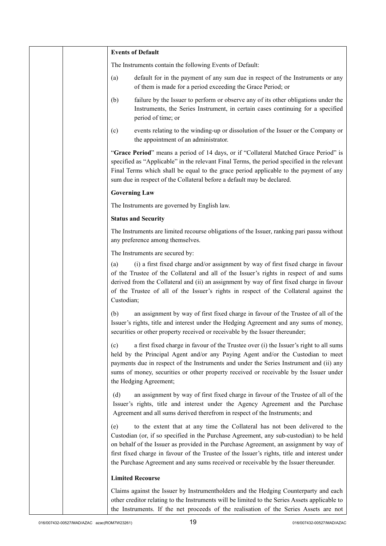|  | <b>Events of Default</b>                                                                                                                                                                                                                                                                                                                                                                                                                                        |
|--|-----------------------------------------------------------------------------------------------------------------------------------------------------------------------------------------------------------------------------------------------------------------------------------------------------------------------------------------------------------------------------------------------------------------------------------------------------------------|
|  | The Instruments contain the following Events of Default:                                                                                                                                                                                                                                                                                                                                                                                                        |
|  | default for in the payment of any sum due in respect of the Instruments or any<br>(a)<br>of them is made for a period exceeding the Grace Period; or                                                                                                                                                                                                                                                                                                            |
|  | failure by the Issuer to perform or observe any of its other obligations under the<br>(b)<br>Instruments, the Series Instrument, in certain cases continuing for a specified<br>period of time; or                                                                                                                                                                                                                                                              |
|  | events relating to the winding-up or dissolution of the Issuer or the Company or<br>(c)<br>the appointment of an administrator.                                                                                                                                                                                                                                                                                                                                 |
|  | "Grace Period" means a period of 14 days, or if "Collateral Matched Grace Period" is<br>specified as "Applicable" in the relevant Final Terms, the period specified in the relevant<br>Final Terms which shall be equal to the grace period applicable to the payment of any<br>sum due in respect of the Collateral before a default may be declared.                                                                                                          |
|  | <b>Governing Law</b>                                                                                                                                                                                                                                                                                                                                                                                                                                            |
|  | The Instruments are governed by English law.                                                                                                                                                                                                                                                                                                                                                                                                                    |
|  | <b>Status and Security</b>                                                                                                                                                                                                                                                                                                                                                                                                                                      |
|  | The Instruments are limited recourse obligations of the Issuer, ranking pari passu without<br>any preference among themselves.                                                                                                                                                                                                                                                                                                                                  |
|  | The Instruments are secured by:                                                                                                                                                                                                                                                                                                                                                                                                                                 |
|  | (i) a first fixed charge and/or assignment by way of first fixed charge in favour<br>(a)<br>of the Trustee of the Collateral and all of the Issuer's rights in respect of and sums<br>derived from the Collateral and (ii) an assignment by way of first fixed charge in favour<br>of the Trustee of all of the Issuer's rights in respect of the Collateral against the<br>Custodian;                                                                          |
|  | an assignment by way of first fixed charge in favour of the Trustee of all of the<br>(b)<br>Issuer's rights, title and interest under the Hedging Agreement and any sums of money,<br>securities or other property received or receivable by the Issuer thereunder;                                                                                                                                                                                             |
|  | a first fixed charge in favour of the Trustee over (i) the Issuer's right to all sums<br>(c)<br>held by the Principal Agent and/or any Paying Agent and/or the Custodian to meet<br>payments due in respect of the Instruments and under the Series Instrument and (ii) any<br>sums of money, securities or other property received or receivable by the Issuer under<br>the Hedging Agreement;                                                                 |
|  | an assignment by way of first fixed charge in favour of the Trustee of all of the<br>(d)<br>Issuer's rights, title and interest under the Agency Agreement and the Purchase<br>Agreement and all sums derived therefrom in respect of the Instruments; and                                                                                                                                                                                                      |
|  | to the extent that at any time the Collateral has not been delivered to the<br>(e)<br>Custodian (or, if so specified in the Purchase Agreement, any sub-custodian) to be held<br>on behalf of the Issuer as provided in the Purchase Agreement, an assignment by way of<br>first fixed charge in favour of the Trustee of the Issuer's rights, title and interest under<br>the Purchase Agreement and any sums received or receivable by the Issuer thereunder. |
|  | <b>Limited Recourse</b>                                                                                                                                                                                                                                                                                                                                                                                                                                         |
|  | Claims against the Issuer by Instrumentholders and the Hedging Counterparty and each<br>other creditor relating to the Instruments will be limited to the Series Assets applicable to<br>the Instruments. If the net proceeds of the realisation of the Series Assets are not                                                                                                                                                                                   |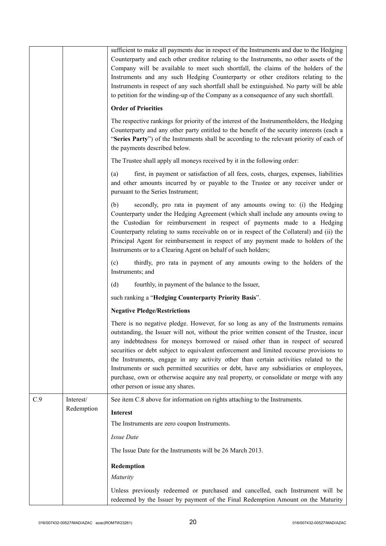|     |            | sufficient to make all payments due in respect of the Instruments and due to the Hedging<br>Counterparty and each other creditor relating to the Instruments, no other assets of the<br>Company will be available to meet such shortfall, the claims of the holders of the<br>Instruments and any such Hedging Counterparty or other creditors relating to the<br>Instruments in respect of any such shortfall shall be extinguished. No party will be able<br>to petition for the winding-up of the Company as a consequence of any such shortfall.                                                                                                                           |
|-----|------------|--------------------------------------------------------------------------------------------------------------------------------------------------------------------------------------------------------------------------------------------------------------------------------------------------------------------------------------------------------------------------------------------------------------------------------------------------------------------------------------------------------------------------------------------------------------------------------------------------------------------------------------------------------------------------------|
|     |            | <b>Order of Priorities</b>                                                                                                                                                                                                                                                                                                                                                                                                                                                                                                                                                                                                                                                     |
|     |            | The respective rankings for priority of the interest of the Instrumentholders, the Hedging<br>Counterparty and any other party entitled to the benefit of the security interests (each a<br>"Series Party") of the Instruments shall be according to the relevant priority of each of<br>the payments described below.                                                                                                                                                                                                                                                                                                                                                         |
|     |            | The Trustee shall apply all moneys received by it in the following order:                                                                                                                                                                                                                                                                                                                                                                                                                                                                                                                                                                                                      |
|     |            | first, in payment or satisfaction of all fees, costs, charges, expenses, liabilities<br>(a)<br>and other amounts incurred by or payable to the Trustee or any receiver under or<br>pursuant to the Series Instrument;                                                                                                                                                                                                                                                                                                                                                                                                                                                          |
|     |            | secondly, pro rata in payment of any amounts owing to: (i) the Hedging<br>(b)<br>Counterparty under the Hedging Agreement (which shall include any amounts owing to<br>the Custodian for reimbursement in respect of payments made to a Hedging<br>Counterparty relating to sums receivable on or in respect of the Collateral) and (ii) the<br>Principal Agent for reimbursement in respect of any payment made to holders of the<br>Instruments or to a Clearing Agent on behalf of such holders;                                                                                                                                                                            |
|     |            | (c)<br>thirdly, pro rata in payment of any amounts owing to the holders of the<br>Instruments; and                                                                                                                                                                                                                                                                                                                                                                                                                                                                                                                                                                             |
|     |            | (d)<br>fourthly, in payment of the balance to the Issuer,                                                                                                                                                                                                                                                                                                                                                                                                                                                                                                                                                                                                                      |
|     |            | such ranking a "Hedging Counterparty Priority Basis".                                                                                                                                                                                                                                                                                                                                                                                                                                                                                                                                                                                                                          |
|     |            | <b>Negative Pledge/Restrictions</b>                                                                                                                                                                                                                                                                                                                                                                                                                                                                                                                                                                                                                                            |
|     |            | There is no negative pledge. However, for so long as any of the Instruments remains<br>outstanding, the Issuer will not, without the prior written consent of the Trustee, incur<br>any indebtedness for moneys borrowed or raised other than in respect of secured<br>securities or debt subject to equivalent enforcement and limited recourse provisions to<br>the Instruments, engage in any activity other than certain activities related to the<br>Instruments or such permitted securities or debt, have any subsidiaries or employees,<br>purchase, own or otherwise acquire any real property, or consolidate or merge with any<br>other person or issue any shares. |
| C.9 | Interest/  | See item C.8 above for information on rights attaching to the Instruments.                                                                                                                                                                                                                                                                                                                                                                                                                                                                                                                                                                                                     |
|     | Redemption | <b>Interest</b>                                                                                                                                                                                                                                                                                                                                                                                                                                                                                                                                                                                                                                                                |
|     |            | The Instruments are zero coupon Instruments.                                                                                                                                                                                                                                                                                                                                                                                                                                                                                                                                                                                                                                   |
|     |            | Issue Date                                                                                                                                                                                                                                                                                                                                                                                                                                                                                                                                                                                                                                                                     |
|     |            | The Issue Date for the Instruments will be 26 March 2013.                                                                                                                                                                                                                                                                                                                                                                                                                                                                                                                                                                                                                      |
|     |            | Redemption                                                                                                                                                                                                                                                                                                                                                                                                                                                                                                                                                                                                                                                                     |
|     |            | Maturity                                                                                                                                                                                                                                                                                                                                                                                                                                                                                                                                                                                                                                                                       |
|     |            | Unless previously redeemed or purchased and cancelled, each Instrument will be<br>redeemed by the Issuer by payment of the Final Redemption Amount on the Maturity                                                                                                                                                                                                                                                                                                                                                                                                                                                                                                             |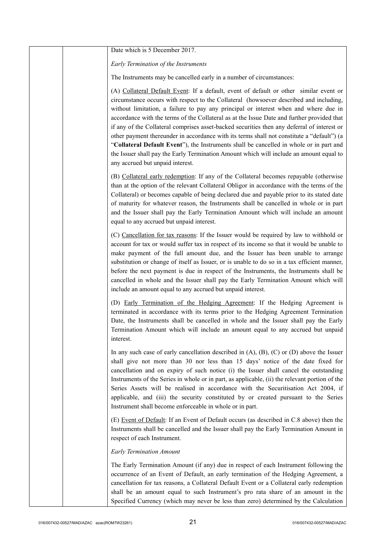| Date which is 5 December 2017.                                                                                                                                                                                                                                                                                                                                                                                                                                                                                                                                                                                                                                                                                                                                                                |
|-----------------------------------------------------------------------------------------------------------------------------------------------------------------------------------------------------------------------------------------------------------------------------------------------------------------------------------------------------------------------------------------------------------------------------------------------------------------------------------------------------------------------------------------------------------------------------------------------------------------------------------------------------------------------------------------------------------------------------------------------------------------------------------------------|
| Early Termination of the Instruments                                                                                                                                                                                                                                                                                                                                                                                                                                                                                                                                                                                                                                                                                                                                                          |
| The Instruments may be cancelled early in a number of circumstances:                                                                                                                                                                                                                                                                                                                                                                                                                                                                                                                                                                                                                                                                                                                          |
| (A) Collateral Default Event: If a default, event of default or other similar event or<br>circumstance occurs with respect to the Collateral (howsoever described and including,<br>without limitation, a failure to pay any principal or interest when and where due in<br>accordance with the terms of the Collateral as at the Issue Date and further provided that<br>if any of the Collateral comprises asset-backed securities then any deferral of interest or<br>other payment thereunder in accordance with its terms shall not constitute a "default") (a<br>"Collateral Default Event"), the Instruments shall be cancelled in whole or in part and<br>the Issuer shall pay the Early Termination Amount which will include an amount equal to<br>any accrued but unpaid interest. |
| (B) Collateral early redemption: If any of the Collateral becomes repayable (otherwise<br>than at the option of the relevant Collateral Obligor in accordance with the terms of the<br>Collateral) or becomes capable of being declared due and payable prior to its stated date<br>of maturity for whatever reason, the Instruments shall be cancelled in whole or in part<br>and the Issuer shall pay the Early Termination Amount which will include an amount<br>equal to any accrued but unpaid interest.                                                                                                                                                                                                                                                                                |
| (C) Cancellation for tax reasons: If the Issuer would be required by law to withhold or<br>account for tax or would suffer tax in respect of its income so that it would be unable to<br>make payment of the full amount due, and the Issuer has been unable to arrange<br>substitution or change of itself as Issuer, or is unable to do so in a tax efficient manner,<br>before the next payment is due in respect of the Instruments, the Instruments shall be<br>cancelled in whole and the Issuer shall pay the Early Termination Amount which will<br>include an amount equal to any accrued but unpaid interest.                                                                                                                                                                       |
| (D) Early Termination of the Hedging Agreement: If the Hedging Agreement is<br>terminated in accordance with its terms prior to the Hedging Agreement Termination<br>Date, the Instruments shall be cancelled in whole and the Issuer shall pay the Early<br>Termination Amount which will include an amount equal to any accrued but unpaid<br>interest.                                                                                                                                                                                                                                                                                                                                                                                                                                     |
| In any such case of early cancellation described in $(A)$ , $(B)$ , $(C)$ or $(D)$ above the Issuer<br>shall give not more than 30 nor less than 15 days' notice of the date fixed for<br>cancellation and on expiry of such notice (i) the Issuer shall cancel the outstanding<br>Instruments of the Series in whole or in part, as applicable, (ii) the relevant portion of the<br>Series Assets will be realised in accordance with the Securitisation Act 2004, if<br>applicable, and (iii) the security constituted by or created pursuant to the Series<br>Instrument shall become enforceable in whole or in part.                                                                                                                                                                     |
| (E) Event of Default: If an Event of Default occurs (as described in C.8 above) then the<br>Instruments shall be cancelled and the Issuer shall pay the Early Termination Amount in<br>respect of each Instrument.                                                                                                                                                                                                                                                                                                                                                                                                                                                                                                                                                                            |
| <b>Early Termination Amount</b>                                                                                                                                                                                                                                                                                                                                                                                                                                                                                                                                                                                                                                                                                                                                                               |
| The Early Termination Amount (if any) due in respect of each Instrument following the<br>occurrence of an Event of Default, an early termination of the Hedging Agreement, a<br>cancellation for tax reasons, a Collateral Default Event or a Collateral early redemption<br>shall be an amount equal to such Instrument's pro rata share of an amount in the<br>Specified Currency (which may never be less than zero) determined by the Calculation                                                                                                                                                                                                                                                                                                                                         |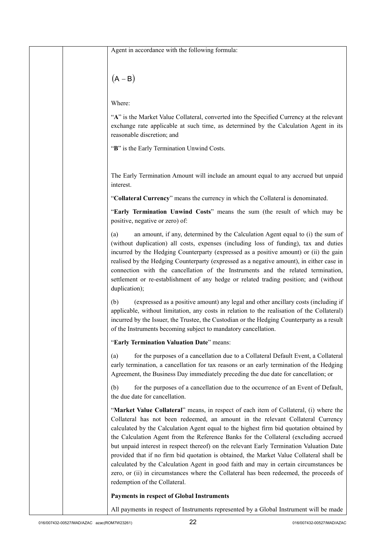| Agent in accordance with the following formula:                                                                                                                                                                                                                                                                                                                                                                                                                                                                                                                                                                                                                                                                                                                         |
|-------------------------------------------------------------------------------------------------------------------------------------------------------------------------------------------------------------------------------------------------------------------------------------------------------------------------------------------------------------------------------------------------------------------------------------------------------------------------------------------------------------------------------------------------------------------------------------------------------------------------------------------------------------------------------------------------------------------------------------------------------------------------|
| $(A - B)$                                                                                                                                                                                                                                                                                                                                                                                                                                                                                                                                                                                                                                                                                                                                                               |
| Where:                                                                                                                                                                                                                                                                                                                                                                                                                                                                                                                                                                                                                                                                                                                                                                  |
| "A" is the Market Value Collateral, converted into the Specified Currency at the relevant<br>exchange rate applicable at such time, as determined by the Calculation Agent in its<br>reasonable discretion; and                                                                                                                                                                                                                                                                                                                                                                                                                                                                                                                                                         |
| "B" is the Early Termination Unwind Costs.                                                                                                                                                                                                                                                                                                                                                                                                                                                                                                                                                                                                                                                                                                                              |
| The Early Termination Amount will include an amount equal to any accrued but unpaid<br>interest.                                                                                                                                                                                                                                                                                                                                                                                                                                                                                                                                                                                                                                                                        |
| "Collateral Currency" means the currency in which the Collateral is denominated.                                                                                                                                                                                                                                                                                                                                                                                                                                                                                                                                                                                                                                                                                        |
| "Early Termination Unwind Costs" means the sum (the result of which may be<br>positive, negative or zero) of:                                                                                                                                                                                                                                                                                                                                                                                                                                                                                                                                                                                                                                                           |
| an amount, if any, determined by the Calculation Agent equal to (i) the sum of<br>(a)<br>(without duplication) all costs, expenses (including loss of funding), tax and duties<br>incurred by the Hedging Counterparty (expressed as a positive amount) or (ii) the gain<br>realised by the Hedging Counterparty (expressed as a negative amount), in either case in<br>connection with the cancellation of the Instruments and the related termination,<br>settlement or re-establishment of any hedge or related trading position; and (without<br>duplication);                                                                                                                                                                                                      |
| (expressed as a positive amount) any legal and other ancillary costs (including if<br>(b)<br>applicable, without limitation, any costs in relation to the realisation of the Collateral)<br>incurred by the Issuer, the Trustee, the Custodian or the Hedging Counterparty as a result<br>of the Instruments becoming subject to mandatory cancellation.                                                                                                                                                                                                                                                                                                                                                                                                                |
| "Early Termination Valuation Date" means:                                                                                                                                                                                                                                                                                                                                                                                                                                                                                                                                                                                                                                                                                                                               |
| for the purposes of a cancellation due to a Collateral Default Event, a Collateral<br>(a)<br>early termination, a cancellation for tax reasons or an early termination of the Hedging<br>Agreement, the Business Day immediately preceding the due date for cancellation; or                                                                                                                                                                                                                                                                                                                                                                                                                                                                                            |
| for the purposes of a cancellation due to the occurrence of an Event of Default,<br>(b)<br>the due date for cancellation.                                                                                                                                                                                                                                                                                                                                                                                                                                                                                                                                                                                                                                               |
| "Market Value Collateral" means, in respect of each item of Collateral, (i) where the<br>Collateral has not been redeemed, an amount in the relevant Collateral Currency<br>calculated by the Calculation Agent equal to the highest firm bid quotation obtained by<br>the Calculation Agent from the Reference Banks for the Collateral (excluding accrued<br>but unpaid interest in respect thereof) on the relevant Early Termination Valuation Date<br>provided that if no firm bid quotation is obtained, the Market Value Collateral shall be<br>calculated by the Calculation Agent in good faith and may in certain circumstances be<br>zero, or (ii) in circumstances where the Collateral has been redeemed, the proceeds of<br>redemption of the Collateral. |
| Payments in respect of Global Instruments                                                                                                                                                                                                                                                                                                                                                                                                                                                                                                                                                                                                                                                                                                                               |
| All payments in respect of Instruments represented by a Global Instrument will be made                                                                                                                                                                                                                                                                                                                                                                                                                                                                                                                                                                                                                                                                                  |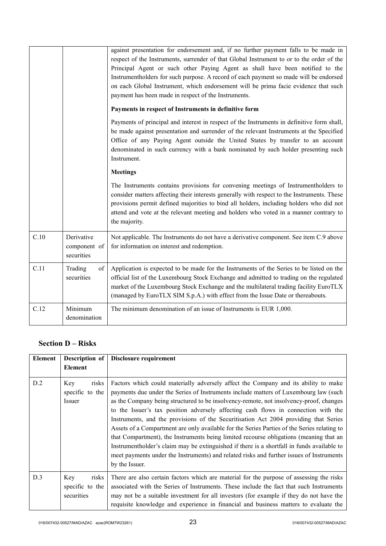|      |                                          | against presentation for endorsement and, if no further payment falls to be made in<br>respect of the Instruments, surrender of that Global Instrument to or to the order of the<br>Principal Agent or such other Paying Agent as shall have been notified to the<br>Instrumentholders for such purpose. A record of each payment so made will be endorsed<br>on each Global Instrument, which endorsement will be prima facie evidence that such<br>payment has been made in respect of the Instruments. |
|------|------------------------------------------|-----------------------------------------------------------------------------------------------------------------------------------------------------------------------------------------------------------------------------------------------------------------------------------------------------------------------------------------------------------------------------------------------------------------------------------------------------------------------------------------------------------|
|      |                                          | Payments in respect of Instruments in definitive form                                                                                                                                                                                                                                                                                                                                                                                                                                                     |
|      |                                          | Payments of principal and interest in respect of the Instruments in definitive form shall,<br>be made against presentation and surrender of the relevant Instruments at the Specified<br>Office of any Paying Agent outside the United States by transfer to an account<br>denominated in such currency with a bank nominated by such holder presenting such<br>Instrument.                                                                                                                               |
|      |                                          | <b>Meetings</b>                                                                                                                                                                                                                                                                                                                                                                                                                                                                                           |
|      |                                          | The Instruments contains provisions for convening meetings of Instrumentholders to<br>consider matters affecting their interests generally with respect to the Instruments. These<br>provisions permit defined majorities to bind all holders, including holders who did not<br>attend and vote at the relevant meeting and holders who voted in a manner contrary to<br>the majority.                                                                                                                    |
| C.10 | Derivative<br>component of<br>securities | Not applicable. The Instruments do not have a derivative component. See item C.9 above<br>for information on interest and redemption.                                                                                                                                                                                                                                                                                                                                                                     |
| C.11 | Trading<br>of<br>securities              | Application is expected to be made for the Instruments of the Series to be listed on the<br>official list of the Luxembourg Stock Exchange and admitted to trading on the regulated<br>market of the Luxembourg Stock Exchange and the multilateral trading facility EuroTLX<br>(managed by EuroTLX SIM S.p.A.) with effect from the Issue Date or thereabouts.                                                                                                                                           |
| C.12 | Minimum<br>denomination                  | The minimum denomination of an issue of Instruments is EUR 1,000.                                                                                                                                                                                                                                                                                                                                                                                                                                         |

## **Section D – Risks**

| Element | Description of                                | Disclosure requirement                                                                                                                                                                                                                                                                                                                                                                                                                                                                                                                                                                                                                                                                                                                                                                                                                                   |
|---------|-----------------------------------------------|----------------------------------------------------------------------------------------------------------------------------------------------------------------------------------------------------------------------------------------------------------------------------------------------------------------------------------------------------------------------------------------------------------------------------------------------------------------------------------------------------------------------------------------------------------------------------------------------------------------------------------------------------------------------------------------------------------------------------------------------------------------------------------------------------------------------------------------------------------|
|         | Element                                       |                                                                                                                                                                                                                                                                                                                                                                                                                                                                                                                                                                                                                                                                                                                                                                                                                                                          |
| D.2     | risks<br>Key<br>specific to the<br>Issuer     | Factors which could materially adversely affect the Company and its ability to make<br>payments due under the Series of Instruments include matters of Luxembourg law (such<br>as the Company being structured to be insolvency-remote, not insolvency-proof, changes<br>to the Issuer's tax position adversely affecting cash flows in connection with the<br>Instruments, and the provisions of the Securitisation Act 2004 providing that Series<br>Assets of a Compartment are only available for the Series Parties of the Series relating to<br>that Compartment), the Instruments being limited recourse obligations (meaning that an<br>Instrumentholder's claim may be extinguished if there is a shortfall in funds available to<br>meet payments under the Instruments) and related risks and further issues of Instruments<br>by the Issuer. |
| D.3     | risks<br>Key<br>specific to the<br>securities | There are also certain factors which are material for the purpose of assessing the risks<br>associated with the Series of Instruments. These include the fact that such Instruments<br>may not be a suitable investment for all investors (for example if they do not have the<br>requisite knowledge and experience in financial and business matters to evaluate the                                                                                                                                                                                                                                                                                                                                                                                                                                                                                   |